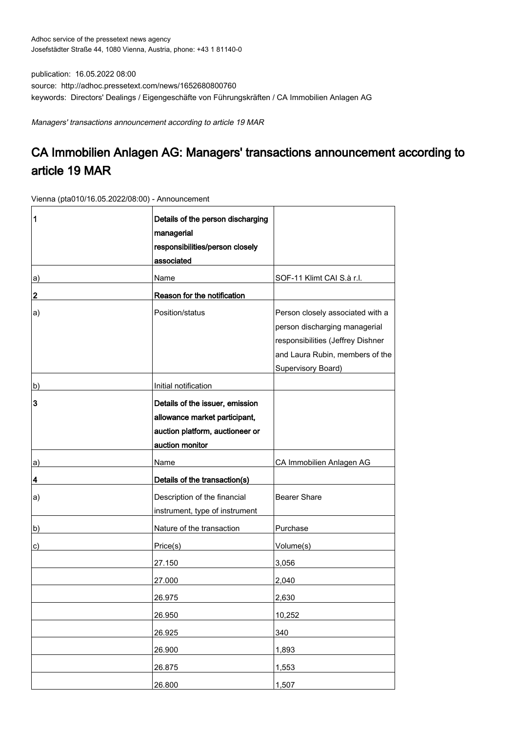publication: 16.05.2022 08:00 source: http://adhoc.pressetext.com/news/1652680800760 keywords: Directors' Dealings / Eigengeschäfte von Führungskräften / CA Immobilien Anlagen AG

Managers' transactions announcement according to article 19 MAR

## CA Immobilien Anlagen AG: Managers' transactions announcement according to article 19 MAR

Vienna (pta010/16.05.2022/08:00) - Announcement

| 1  | Details of the person discharging<br>managerial<br>responsibilities/person closely<br>associated                       |                                                                                                                                                                 |
|----|------------------------------------------------------------------------------------------------------------------------|-----------------------------------------------------------------------------------------------------------------------------------------------------------------|
| a) | Name                                                                                                                   | SOF-11 Klimt CAI S.à r.l.                                                                                                                                       |
| 2  | Reason for the notification                                                                                            |                                                                                                                                                                 |
| a) | Position/status                                                                                                        | Person closely associated with a<br>person discharging managerial<br>responsibilities (Jeffrey Dishner<br>and Laura Rubin, members of the<br>Supervisory Board) |
| b) | Initial notification                                                                                                   |                                                                                                                                                                 |
| 3  | Details of the issuer, emission<br>allowance market participant,<br>auction platform, auctioneer or<br>auction monitor |                                                                                                                                                                 |
| a) | Name                                                                                                                   | CA Immobilien Anlagen AG                                                                                                                                        |
| 4  | Details of the transaction(s)                                                                                          |                                                                                                                                                                 |
| a) | Description of the financial<br>instrument, type of instrument                                                         | <b>Bearer Share</b>                                                                                                                                             |
| b) | Nature of the transaction                                                                                              | Purchase                                                                                                                                                        |
| c) | Price(s)                                                                                                               | Volume(s)                                                                                                                                                       |
|    | 27.150                                                                                                                 | 3,056                                                                                                                                                           |
|    | 27.000                                                                                                                 | 2,040                                                                                                                                                           |
|    | 26.975                                                                                                                 | 2,630                                                                                                                                                           |
|    | 26.950                                                                                                                 | 10,252                                                                                                                                                          |
|    | 26.925                                                                                                                 | 340                                                                                                                                                             |
|    | 26.900                                                                                                                 | 1,893                                                                                                                                                           |
|    | 26.875                                                                                                                 | 1,553                                                                                                                                                           |
|    | 26.800                                                                                                                 | 1,507                                                                                                                                                           |